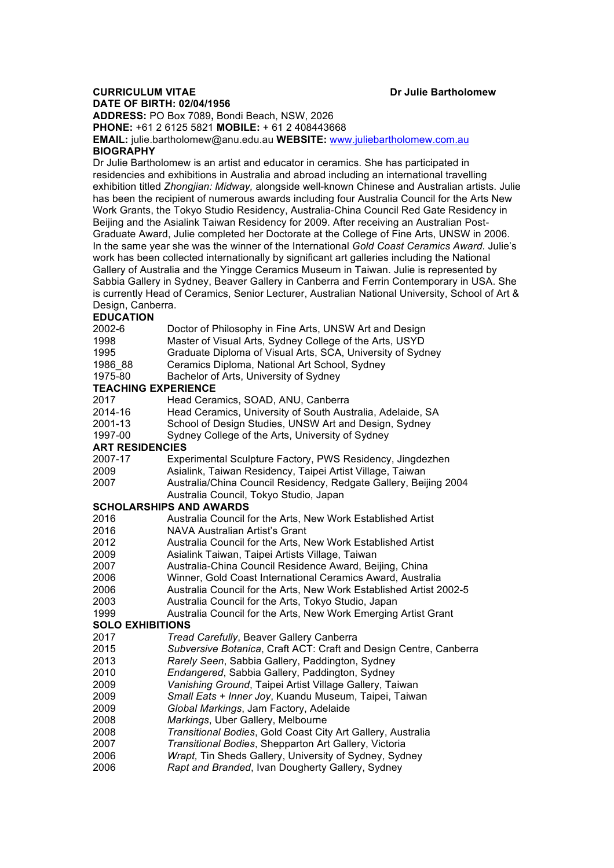## **CURRICULUM VITAE Dr Julie Bartholomew**

**DATE OF BIRTH: 02/04/1956 ADDRESS:** PO Box 7089**,** Bondi Beach, NSW, 2026 **PHONE:** +61 2 6125 5821 **MOBILE:** + 61 2 408443668

**EMAIL:** julie.bartholomew@anu.edu.au **WEBSITE:** www.juliebartholomew.com.au **BIOGRAPHY**

Dr Julie Bartholomew is an artist and educator in ceramics. She has participated in residencies and exhibitions in Australia and abroad including an international travelling exhibition titled *Zhongjian: Midway,* alongside well-known Chinese and Australian artists. Julie has been the recipient of numerous awards including four Australia Council for the Arts New Work Grants, the Tokyo Studio Residency, Australia-China Council Red Gate Residency in Beijing and the Asialink Taiwan Residency for 2009. After receiving an Australian Post-Graduate Award, Julie completed her Doctorate at the College of Fine Arts, UNSW in 2006. In the same year she was the winner of the International *Gold Coast Ceramics Award*. Julie's work has been collected internationally by significant art galleries including the National Gallery of Australia and the Yingge Ceramics Museum in Taiwan. Julie is represented by Sabbia Gallery in Sydney, Beaver Gallery in Canberra and Ferrin Contemporary in USA. She is currently Head of Ceramics, Senior Lecturer, Australian National University, School of Art & Design, Canberra.

## **EDUCATION**

| 2002-6                         | Doctor of Philosophy in Fine Arts, UNSW Art and Design             |  |
|--------------------------------|--------------------------------------------------------------------|--|
| 1998                           | Master of Visual Arts, Sydney College of the Arts, USYD            |  |
| 1995                           | Graduate Diploma of Visual Arts, SCA, University of Sydney         |  |
| 1986 88                        | Ceramics Diploma, National Art School, Sydney                      |  |
| 1975-80                        | Bachelor of Arts, University of Sydney                             |  |
| <b>TEACHING EXPERIENCE</b>     |                                                                    |  |
| 2017                           | Head Ceramics, SOAD, ANU, Canberra                                 |  |
| 2014-16                        | Head Ceramics, University of South Australia, Adelaide, SA         |  |
| 2001-13                        | School of Design Studies, UNSW Art and Design, Sydney              |  |
| 1997-00                        | Sydney College of the Arts, University of Sydney                   |  |
| <b>ART RESIDENCIES</b>         |                                                                    |  |
| 2007-17                        | Experimental Sculpture Factory, PWS Residency, Jingdezhen          |  |
| 2009                           | Asialink, Taiwan Residency, Taipei Artist Village, Taiwan          |  |
| 2007                           | Australia/China Council Residency, Redgate Gallery, Beijing 2004   |  |
|                                | Australia Council, Tokyo Studio, Japan                             |  |
| <b>SCHOLARSHIPS AND AWARDS</b> |                                                                    |  |
| 2016                           | Australia Council for the Arts, New Work Established Artist        |  |
| 2016                           | <b>NAVA Australian Artist's Grant</b>                              |  |
| 2012                           | Australia Council for the Arts, New Work Established Artist        |  |
| 2009                           | Asialink Taiwan, Taipei Artists Village, Taiwan                    |  |
| 2007                           | Australia-China Council Residence Award, Beijing, China            |  |
| 2006                           | Winner, Gold Coast International Ceramics Award, Australia         |  |
| 2006                           | Australia Council for the Arts, New Work Established Artist 2002-5 |  |
| 2003                           | Australia Council for the Arts, Tokyo Studio, Japan                |  |
| 1999                           | Australia Council for the Arts, New Work Emerging Artist Grant     |  |
| <b>SOLO EXHIBITIONS</b>        |                                                                    |  |
| 2017                           | Tread Carefully, Beaver Gallery Canberra                           |  |
| 2015                           | Subversive Botanica, Craft ACT: Craft and Design Centre, Canberra  |  |
| 2013                           | Rarely Seen, Sabbia Gallery, Paddington, Sydney                    |  |
| 2010                           | Endangered, Sabbia Gallery, Paddington, Sydney                     |  |
| 2009                           | Vanishing Ground, Taipei Artist Village Gallery, Taiwan            |  |
| 2009                           | Small Eats + Inner Joy, Kuandu Museum, Taipei, Taiwan              |  |
| 2009                           | Global Markings, Jam Factory, Adelaide                             |  |
| 2008                           | Markings, Uber Gallery, Melbourne                                  |  |
| 2008                           | Transitional Bodies, Gold Coast City Art Gallery, Australia        |  |
| 2007                           | Transitional Bodies, Shepparton Art Gallery, Victoria              |  |
| 2006                           | Wrapt, Tin Sheds Gallery, University of Sydney, Sydney             |  |

2006 *Rapt and Branded*, Ivan Dougherty Gallery, Sydney